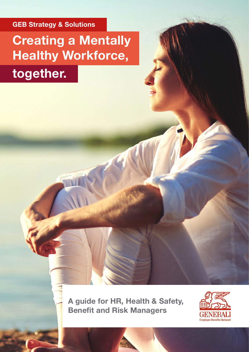**GEB Strategy & Solutions**

# **Creating a Mentally Healthy Workforce, together.**

**A guide for HR, Health & Safety, Benefit and Risk Managers**

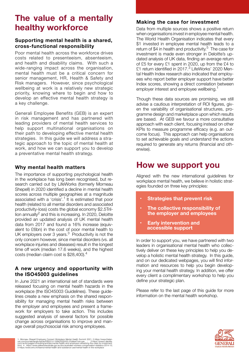# **The value of a mentally healthy workforce**

#### **Supporting mental health is a shared, cross-functional responsibility**

Poor mental health across the workforce drives costs related to presenteeism, absenteeism, and health and disability claims. With such a wide-ranging impact across the organisation, mental health must be a critical concern for senior management, HR, Health & Safety and Risk managers. However, since psychological wellbeing at work is a relatively new strategic priority, knowing where to begin and how to develop an effective mental health strategy is a key challenge.

Generali Employee Benefits (GEB) is an expert in risk management and has partnered with leading providers of mental health services to help support multinational organisations on their path to developing effective mental health strategies. In this guide we will address a strategic approach to the topic of mental health at work, and how we can support you to develop a preventative mental health strategy.

#### **Why mental health matters**

The importance of supporting psychological health in the workplace has long been recognised, but research carried out by LifeWorks (formerly Morneau Shepell) in 2020 identified a decline in mental health scores across multiple geographies at a magnitude associated with a 'crisis'.1 It is estimated that poor health (related to all mental disorders and associated productivity-loss) costs the global economy \$2.5Trillion annually<sup>2</sup> and this is increasing. In 2020, Deloitte provided an updated analysis of UK mental health data from 2017 and found a 16% increase (equivalent to £6bn) in the cost of poor mental health to UK employers over 3 years.<sup>3</sup> Productivity is not the only concern however, since mental disorders (vs. all workplace injuries and diseases) result in the longest time off work (median 17.6 weeks), and the highest costs (median claim cost is \$28,400).<sup>4</sup>

### **A new urgency and opportunity with the ISO45003 guidelines**

In June 2021 an international set of standards were released focusing on mental health hazards in the workplace (the ISO45003 Guidelines). These guidelines create a new emphasis on the shared responsibility for managing mental health risks between the employer and employees and present a framework for employers to take action. This includes suggested analysis of several factors for possible change across organisations to improve and manage overall psychosocial risk among employees.

### **Making the case for investment**

Data from multiple sources shows a positive return when organisations invest in employee mental health. The World Health Organisation indicates that every \$1 invested in employee mental health leads to a return of \$4 in health and productivity.<sup>5</sup> The case for investment is made even stronger in Deloitte's updated analysis of UK data, finding an average return of £5 for every £1 spent in 2020, up from the £4 to £1 return identified in 2017.<sup>3</sup> LifeWorks' 2020 Mental Health Index research also indicated that employees who report better employer support have better Index scores, showing a direct correlation between employer interest and employee wellbeing.<sup>1</sup>

Though these data sources are promising, we still advise a cautious interpretation of ROI figures, given the variability of organisational structures, programme design and marketplace upon which results are based. At GEB we favour a more consultative approach with each client, focusing instead on other KPIs to measure programme efficacy (e.g. an outcome focus). This approach can help organisations to set achievable goals and understand the actions required to generate any returns (financial and otherwise).

## **How we support you**

Aligned with the new international guidelines for workplace mental health, we believe in holistic strategies founded on three key principles:

- **• Strategies that prevent risk**
- **• The collective responsibility of the employer and employees**
- **• Early intervention and accessible support**

In order to support you, we have partnered with two leaders in organisational mental health who collectively deliver on these key principles to help you develop a holistic mental health strategy. In this guide, and on our dedicated webpages, you will find information and resources to help you begin developing your mental health strategy. In addition, we offer every client a complimentary workshop to help you define your strategic plan.

Please refer to the last page of this guide for more information on the mental health workshop.

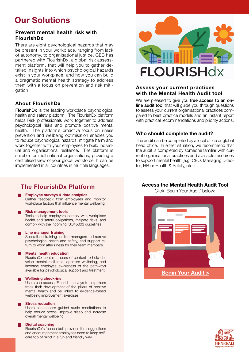# **Our Solutions**

#### **Prevent mental health risk with FlourishDx**

There are eight psychological hazards that may be present in your workplace, ranging from lack of autonomy, to organisational justice. GEB has partnered with FlourishDx, a global risk assessment platform, that will help you to gather detailed insights into which psychological hazards exist in your workplace, and how you can build a pragmatic mental health strategy to address them with a focus on prevention and risk mitigation.

### **About FlourishDx**

FlourishDx is the leading workplace psychological health and safety platform. The FlourishDx platform helps Risk professionals work together to address psychological risks and promote positive mental health. The platform's proactive focus on illness prevention and wellbeing optimisation enables you to reduce psychological hazards, mitigate harm and work together with your employees to build individual and organisational resilience. The platform is suitable for multinational organisations, providing a centralised view of your global workforce. It can be implemented in all countries in multiple languages.

### **The FlourishDx Platform**

#### **Employee surveys & data analytics**

Gather feedback from employees and monitor workplace factors that influence mental wellbeing.

#### **Risk management tools**

Tools to help employers comply with workplace health and safety obligations, mitigate risks, and comply with the incoming ISO45003 guidelines.

#### **Line manager training**

Specialised training for line managers to improve psychological health and safety, and support return to work after illness for their team members.

#### **Mental health education**

FlourishDx contains hours of content to help develop mental resilience, optimise wellbeing, and increase employee awareness of the pathways available for psychological support and treatment.

#### **Wellbeing check-ins**

Users can access 'Flourish' surveys to help them track their development of the pillars of positive mental health and be linked to evidence-based wellbeing improvement exercises.

#### **Stress reduction**

Users can access guided audio meditations to help reduce stress, improve sleep and increase overall mental wellbeing.

#### **Digital coaching**

FlourishDx's 'coach bot' provides the suggestions and encouragement employees need to keep selfcare top of mind in a fun and friendly way.



#### **Assess your current practices with the Mental Health Audit tool**

We are pleased to give you free access to an online audit tool that will guide you through questions to assess your current organisational practices compared to best practice models and an instant report with practical recommendations and priority actions.

#### **Who should complete the audit?**

The audit can be completed by a local office or global head office. In either situation, we recommend that the audit is completed by someone familiar with current organisational practices and available resources to support mental health (e.g. CEO, Managing Director, HR or Health & Safety, etc.)

#### **Access the Mental Health Audit Tool**

Click 'Begin Your Audit' below:



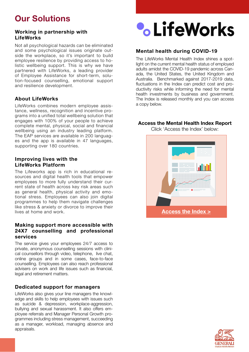# **Our Solutions**

#### **Working in partnership with LifeWorks**

Not all psychological hazards can be eliminated and some psychological issues originate outside the workplace, so it's important to build employee resilience by providing access to holistic wellbeing support. This is why we have partnered with LifeWorks, a leading provider of Employee Assistance for short-term, solution-focused counselling, emotional support and resilience development.

### **About LifeWorks**

LifeWorks combines modern employee assistance, wellness, recognition and incentive programs into a unified total wellbeing solution that engages with 100% of your people to achieve complete mental, physical, social and financial wellbeing using an industry leading platform. The EAP services are available in 200 languages and the app is available in 47 languages, supporting over 180 countries.

#### **Improving lives with the LifeWorks Platform**

The Lifeworks app is rich in educational resources and digital health tools that empower employees to more fully understand their current state of health across key risk areas such as general health, physical activity and emotional stress. Employees can also join digital programmes to help them navigate challenges like stress & anxiety or divorce to improve their lives at home and work.

#### **Making support more accessible with 24X7 counselling and professional services**

The service gives your employees 24/7 access to private, anonymous counselling sessions with clinical counsellors through video, telephone, live chat, online groups and in some cases, face-to-face counselling. Employees can also reach professional advisers on work and life issues such as financial, legal and retirement matters.

#### **Dedicated support for managers**

LifeWorks also gives your line managers the knowledge and skills to help employees with issues such as suicide & depression, workplace-aggression, bullying and sexual harassment. It also offers employee referrals and Manager Personal Growth programmes including stress management, succeeding as a manager, workload, managing absence and appraisals.



### **Mental health during COVID-19**

The LifeWorks Mental Health Index shines a spotlight on the current mental health status of employed adults amidst the COVID-19 pandemic across Canada, the United States, the United Kingdom and Australia. Benchmarked against 2017-2019 data, fluctuations in the Index can predict cost and productivity risks while informing the need for mental health investments by business and government. The Index is released monthly and you can access a copy below.

#### **Access the Mental Health Index Report**

Click 'Access the Index' below: